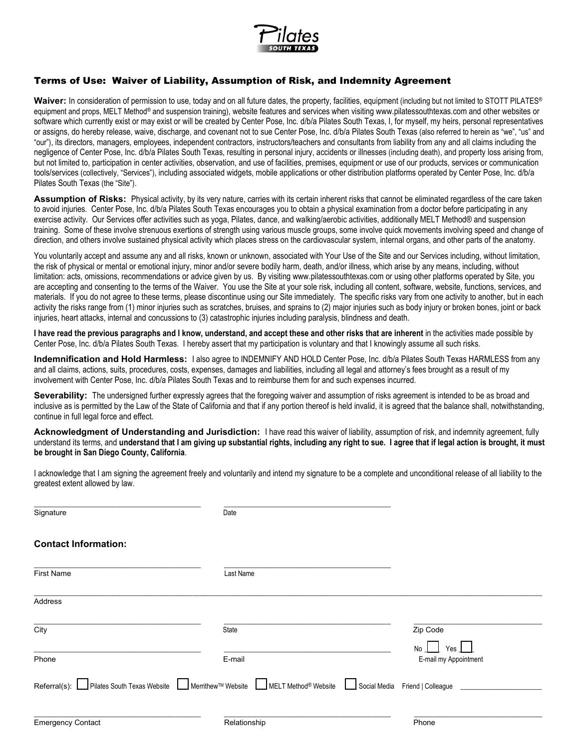

# Terms of Use: Waiver of Liability, Assumption of Risk, and Indemnity Agreement

Waiver: In consideration of permission to use, today and on all future dates, the property, facilities, equipment (including but not limited to STOTT PILATES<sup>®</sup> equipment and props, MELT Method<sup>®</sup> and suspension training), website features and services when visiting www.pilatessouthtexas.com and other websites or software which currently exist or may exist or will be created by Center Pose, Inc. d/b/a Pilates South Texas, I, for myself, my heirs, personal representatives or assigns, do hereby release, waive, discharge, and covenant not to sue Center Pose, Inc. d/b/a Pilates South Texas (also referred to herein as "we", "us" and "our"), its directors, managers, employees, independent contractors, instructors/teachers and consultants from liability from any and all claims including the negligence of Center Pose, Inc. d/b/a Pilates South Texas, resulting in personal injury, accidents or illnesses (including death), and property loss arising from, but not limited to, participation in center activities, observation, and use of facilities, premises, equipment or use of our products, services or communication tools/services (collectively, "Services"), including associated widgets, mobile applications or other distribution platforms operated by Center Pose, Inc. d/b/a Pilates South Texas (the "Site").

**Assumption of Risks:** Physical activity, by its very nature, carries with its certain inherent risks that cannot be eliminated regardless of the care taken to avoid injuries. Center Pose, Inc. d/b/a Pilates South Texas encourages you to obtain a physical examination from a doctor before participating in any exercise activity. Our Services offer activities such as yoga, Pilates, dance, and walking/aerobic activities, additionally MELT Method® and suspension training. Some of these involve strenuous exertions of strength using various muscle groups, some involve quick movements involving speed and change of direction, and others involve sustained physical activity which places stress on the cardiovascular system, internal organs, and other parts of the anatomy.

You voluntarily accept and assume any and all risks, known or unknown, associated with Your Use of the Site and our Services including, without limitation, the risk of physical or mental or emotional injury, minor and/or severe bodily harm, death, and/or illness, which arise by any means, including, without limitation: acts, omissions, recommendations or advice given by us. By visiting www.pilatessouthtexas.com or using other platforms operated by Site, you are accepting and consenting to the terms of the Waiver. You use the Site at your sole risk, including all content, software, website, functions, services, and materials. If you do not agree to these terms, please discontinue using our Site immediately. The specific risks vary from one activity to another, but in each activity the risks range from (1) minor injuries such as scratches, bruises, and sprains to (2) major injuries such as body injury or broken bones, joint or back injuries, heart attacks, internal and concussions to (3) catastrophic injuries including paralysis, blindness and death.

**I have read the previous paragraphs and I know, understand, and accept these and other risks that are inherent** in the activities made possible by Center Pose, Inc. d/b/a Pilates South Texas. I hereby assert that my participation is voluntary and that I knowingly assume all such risks.

**Indemnification and Hold Harmless:** I also agree to INDEMNIFY AND HOLD Center Pose, Inc. d/b/a Pilates South Texas HARMLESS from any and all claims, actions, suits, procedures, costs, expenses, damages and liabilities, including all legal and attorney's fees brought as a result of my involvement with Center Pose, Inc. d/b/a Pilates South Texas and to reimburse them for and such expenses incurred.

**Severability:** The undersigned further expressly agrees that the foregoing waiver and assumption of risks agreement is intended to be as broad and inclusive as is permitted by the Law of the State of California and that if any portion thereof is held invalid, it is agreed that the balance shall, notwithstanding, continue in full legal force and effect.

**Acknowledgment of Understanding and Jurisdiction:** I have read this waiver of liability, assumption of risk, and indemnity agreement, fully understand its terms, and **understand that I am giving up substantial rights, including any right to sue. I agree that if legal action is brought, it must be brought in San Diego County, California**.

I acknowledge that I am signing the agreement freely and voluntarily and intend my signature to be a complete and unconditional release of all liability to the greatest extent allowed by law.

| Signature                   | Date                                                                                                  |                                    |
|-----------------------------|-------------------------------------------------------------------------------------------------------|------------------------------------|
| <b>Contact Information:</b> |                                                                                                       |                                    |
| <b>First Name</b>           | Last Name                                                                                             |                                    |
| Address                     |                                                                                                       |                                    |
| City                        | State                                                                                                 | Zip Code                           |
| Phone                       | E-mail                                                                                                | No<br>Yes<br>E-mail my Appointment |
| Referral(s):                | ■ Pilates South Texas Website   Merrithew™ Website   MELT Method <sup>®</sup> Website<br>Social Media | Friend   Colleague                 |
| <b>Emergency Contact</b>    | Relationship                                                                                          | Phone                              |